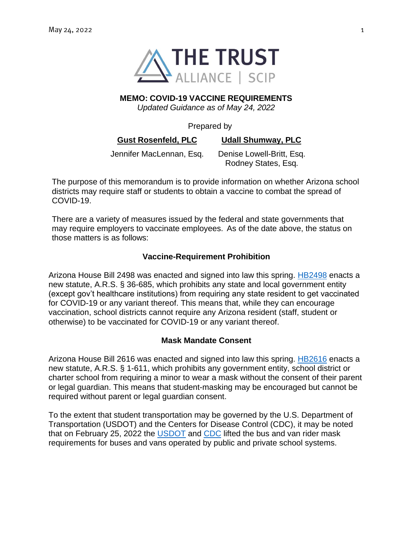

# **MEMO: COVID-19 VACCINE REQUIREMENTS**

*Updated Guidance as of May 24, 2022*

#### Prepared by

**Gust Rosenfeld, PLC Udall Shumway, PLC**

Jennifer MacLennan, Esq. Denise Lowell-Britt, Esq. Rodney States, Esq.

The purpose of this memorandum is to provide information on whether Arizona school districts may require staff or students to obtain a vaccine to combat the spread of COVID-19.

There are a variety of measures issued by the federal and state governments that may require employers to vaccinate employees. As of the date above, the status on those matters is as follows:

#### **Vaccine-Requirement Prohibition**

Arizona House Bill 2498 was enacted and signed into law this spring. [HB2498](https://www.azleg.gov/legtext/55leg/2R/laws/0180.htm) enacts a new statute, A.R.S. § 36-685, which prohibits any state and local government entity (except gov't healthcare institutions) from requiring any state resident to get vaccinated for COVID-19 or any variant thereof. This means that, while they can encourage vaccination, school districts cannot require any Arizona resident (staff, student or otherwise) to be vaccinated for COVID-19 or any variant thereof.

#### **Mask Mandate Consent**

Arizona House Bill 2616 was enacted and signed into law this spring. [HB2616](https://www.azleg.gov/legtext/55leg/2R/laws/0184.htm) enacts a new statute, A.R.S. § 1-611, which prohibits any government entity, school district or charter school from requiring a minor to wear a mask without the consent of their parent or legal guardian. This means that student-masking may be encouraged but cannot be required without parent or legal guardian consent.

To the extent that student transportation may be governed by the U.S. Department of Transportation (USDOT) and the Centers for Disease Control (CDC), it may be noted that on February 25, 2022 the [USDOT](https://www.transportation.gov/safety/mask-travel-guidance#:~:text=People%20must%20wear%20masks%20that,hub%20in%20the%20United%20States) and [CDC](https://www.cdc.gov/coronavirus/2019-ncov/travelers/face-masks-public-transportation.html) lifted the bus and van rider mask requirements for buses and vans operated by public and private school systems.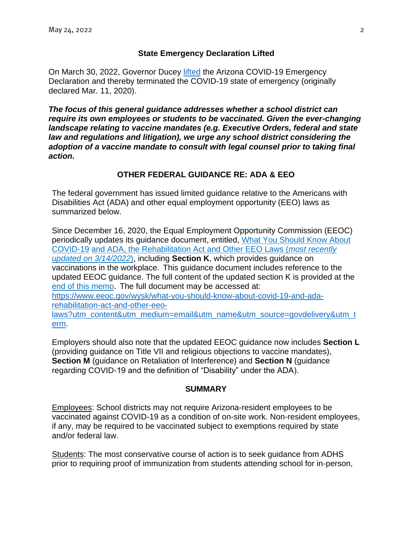# **State Emergency Declaration Lifted**

On March 30, 2022, Governor Ducey [lifted](https://azgovernor.gov/sites/default/files/termination_of_emergency-covid-19.pdf) the Arizona COVID-19 Emergency Declaration and thereby terminated the COVID-19 state of emergency (originally declared Mar. 11, 2020).

*The focus of this general guidance addresses whether a school district can require its own employees or students to be vaccinated. Given the ever-changing landscape relating to vaccine mandates (e.g. Executive Orders, federal and state law and regulations and litigation), we urge any school district considering the adoption of a vaccine mandate to consult with legal counsel prior to taking final action.*

# **OTHER FEDERAL GUIDANCE RE: ADA & EEO**

The federal government has issued limited guidance relative to the Americans with Disabilities Act (ADA) and other equal employment opportunity (EEO) laws as summarized below.

Since December 16, 2020, the Equal Employment Opportunity Commission (EEOC) periodically updates its guidance document, entitled, [What You Should Know About](https://www.eeoc.gov/wysk/what-you-should-know-about-covid-19-and-ada-rehabilitation-act-and-other-eeo-laws?utm_content&utm_medium=email&utm_name&utm_source=govdelivery&utm_term)  [COVID-19](https://www.eeoc.gov/wysk/what-you-should-know-about-covid-19-and-ada-rehabilitation-act-and-other-eeo-laws?utm_content&utm_medium=email&utm_name&utm_source=govdelivery&utm_term) [and ADA, the Rehabilitation Act and Other EEO Laws](https://www.eeoc.gov/wysk/what-you-should-know-about-covid-19-and-ada-rehabilitation-act-and-other-eeo-laws?utm_content&utm_medium=email&utm_name&utm_source=govdelivery&utm_term) (*most recently updated on 3/14/2022*), including **Section K**, which provides guidance on vaccinations in the workplace. This guidance document includes reference to the updated EEOC guidance. The full content of the updated section K is provided at the [end of this memo.](#page-5-0) The full document may be accessed at: [https://www.eeoc.gov/wysk/what-you-should-know-about-covid-19-and-ada](https://www.eeoc.gov/wysk/what-you-should-know-about-covid-19-and-ada-rehabilitation-act-and-other-eeo-laws?utm_content&utm_medium=email&utm_name&utm_source=govdelivery&utm_term)[rehabilitation-act-and-other-eeo](https://www.eeoc.gov/wysk/what-you-should-know-about-covid-19-and-ada-rehabilitation-act-and-other-eeo-laws?utm_content&utm_medium=email&utm_name&utm_source=govdelivery&utm_term)[laws?utm\\_content&utm\\_medium=email&utm\\_name&utm\\_source=govdelivery&utm\\_t](https://www.eeoc.gov/wysk/what-you-should-know-about-covid-19-and-ada-rehabilitation-act-and-other-eeo-laws?utm_content&utm_medium=email&utm_name&utm_source=govdelivery&utm_term)

[erm.](https://www.eeoc.gov/wysk/what-you-should-know-about-covid-19-and-ada-rehabilitation-act-and-other-eeo-laws?utm_content&utm_medium=email&utm_name&utm_source=govdelivery&utm_term)

Employers should also note that the updated EEOC guidance now includes **Section L** (providing guidance on Title VII and religious objections to vaccine mandates), **Section M** (guidance on Retaliation of Interference) and **Section N** (guidance regarding COVID-19 and the definition of "Disability" under the ADA).

#### **SUMMARY**

Employees: School districts may not require Arizona-resident employees to be vaccinated against COVID-19 as a condition of on-site work. Non-resident employees, if any, may be required to be vaccinated subject to exemptions required by state and/or federal law.

Students: The most conservative course of action is to seek guidance from ADHS prior to requiring proof of immunization from students attending school for in-person,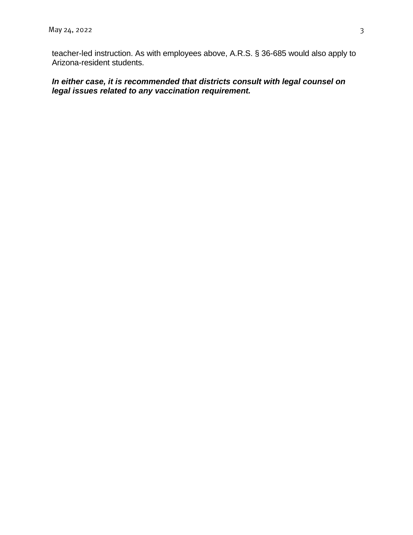teacher-led instruction. As with employees above, A.R.S. § 36-685 would also apply to Arizona-resident students.

# *In either case, it is recommended that districts consult with legal counsel on legal issues related to any vaccination requirement.*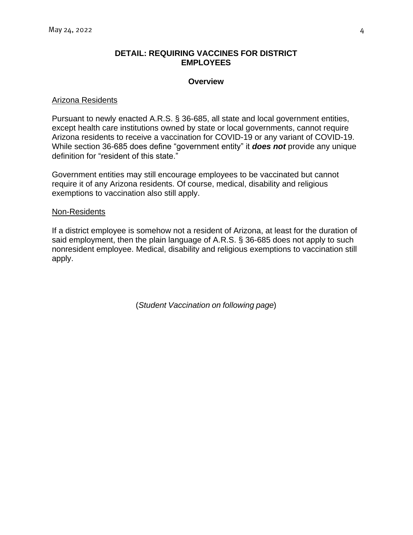#### **DETAIL: REQUIRING VACCINES FOR DISTRICT EMPLOYEES**

#### **Overview**

#### Arizona Residents

Pursuant to newly enacted A.R.S. § 36-685, all state and local government entities, except health care institutions owned by state or local governments, cannot require Arizona residents to receive a vaccination for COVID-19 or any variant of COVID-19. While section 36-685 does define "government entity" it *does not* provide any unique definition for "resident of this state."

Government entities may still encourage employees to be vaccinated but cannot require it of any Arizona residents. Of course, medical, disability and religious exemptions to vaccination also still apply.

#### Non-Residents

If a district employee is somehow not a resident of Arizona, at least for the duration of said employment, then the plain language of A.R.S. § 36-685 does not apply to such nonresident employee. Medical, disability and religious exemptions to vaccination still apply.

(*Student Vaccination on following page*)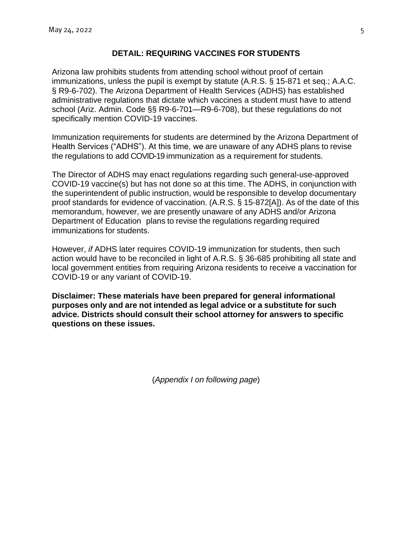# **DETAIL: REQUIRING VACCINES FOR STUDENTS**

Arizona law prohibits students from attending school without proof of certain immunizations, unless the pupil is exempt by statute (A.R.S. § 15-871 et seq.; A.A.C. § R9-6-702). The Arizona Department of Health Services (ADHS) has established administrative regulations that dictate which vaccines a student must have to attend school (Ariz. Admin. Code §§ R9-6-701—R9-6-708), but these regulations do not specifically mention COVID-19 vaccines.

Immunization requirements for students are determined by the Arizona Department of Health Services ("ADHS"). At this time, we are unaware of any ADHS plans to revise the regulations to add COVID-19 immunization as a requirement for students.

The Director of ADHS may enact regulations regarding such general-use-approved COVID-19 vaccine(s) but has not done so at this time. The ADHS, in conjunction with the superintendent of public instruction, would be responsible to develop documentary proof standards for evidence of vaccination. (A.R.S. § 15-872[A]). As of the date of this memorandum, however, we are presently unaware of any ADHS and/or Arizona Department of Education plans to revise the regulations regarding required immunizations for students.

However, *if* ADHS later requires COVID-19 immunization for students, then such action would have to be reconciled in light of A.R.S. § 36-685 prohibiting all state and local government entities from requiring Arizona residents to receive a vaccination for COVID-19 or any variant of COVID-19.

**Disclaimer: These materials have been prepared for general informational purposes only and are not intended as legal advice or a substitute for such advice. Districts should consult their school attorney for answers to specific questions on these issues.**

(*Appendix I on following page*)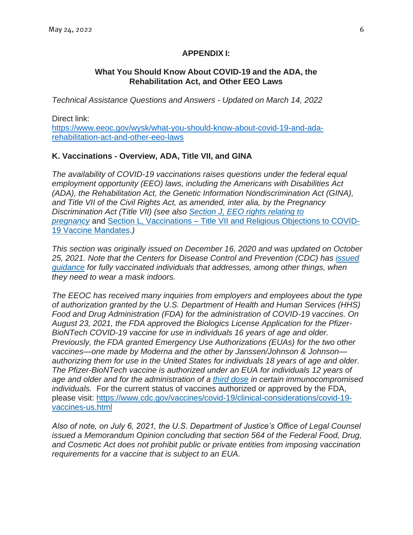# **APPENDIX I:**

# **What You Should Know About COVID-19 and the ADA, the Rehabilitation Act, and Other EEO Laws**

<span id="page-5-0"></span>*Technical Assistance Questions and Answers - Updated on March 14, 2022*

Direct link: [https://www.eeoc.gov/wysk/what-you-should-know-about-covid-19-and-ada](https://www.eeoc.gov/wysk/what-you-should-know-about-covid-19-and-ada-rehabilitation-act-and-other-eeo-laws)[rehabilitation-act-and-other-eeo-laws](https://www.eeoc.gov/wysk/what-you-should-know-about-covid-19-and-ada-rehabilitation-act-and-other-eeo-laws) 

# **K. Vaccinations - Overview, ADA, Title VII, and GINA**

*The availability of COVID-19 vaccinations raises questions under the federal equal employment opportunity (EEO) laws, including the Americans with Disabilities Act (ADA), the Rehabilitation Act, the Genetic Information Nondiscrimination Act (GINA), and Title VII of the Civil Rights Act, as amended, inter alia, by the Pregnancy Discrimination Act (Title VII) (see also [Section J, EEO rights relating to](https://www.eeoc.gov/wysk/what-you-should-know-about-covid-19-and-ada-rehabilitation-act-and-other-eeo-laws#J)  [pregnancy](https://www.eeoc.gov/wysk/what-you-should-know-about-covid-19-and-ada-rehabilitation-act-and-other-eeo-laws#J)* and Section L, Vaccinations – [Title VII and Religious Objections to COVID-](https://www.eeoc.gov/wysk/what-you-should-know-about-covid-19-and-ada-rehabilitation-act-and-other-eeo-laws#L)[19 Vaccine Mandates.](https://www.eeoc.gov/wysk/what-you-should-know-about-covid-19-and-ada-rehabilitation-act-and-other-eeo-laws#L)*)*

*This section was originally issued on December 16, 2020 and was updated on October 25, 2021. Note that the Centers for Disease Control and Prevention (CDC) has [issued](https://www.cdc.gov/coronavirus/2019-ncov/vaccines/fully-vaccinated.html)  [guidance](https://www.cdc.gov/coronavirus/2019-ncov/vaccines/fully-vaccinated.html) for fully vaccinated individuals that addresses, among other things, when they need to wear a mask indoors.*

*The EEOC has received many inquiries from employers and employees about the type of authorization granted by the U.S. Department of Health and Human Services (HHS) Food and Drug Administration (FDA) for the administration of COVID-19 vaccines. On August 23, 2021, the FDA approved the Biologics License Application for the Pfizer-BioNTech COVID-19 vaccine for use in individuals 16 years of age and older. Previously, the FDA granted Emergency Use Authorizations (EUAs) for the two other vaccines—one made by Moderna and the other by Janssen/Johnson & Johnson authorizing them for use in the United States for individuals 18 years of age and older. The Pfizer-BioNTech vaccine is authorized under an EUA for individuals 12 years of age and older and for the administration of a [third dose](https://www.cdc.gov/coronavirus/2019-ncov/vaccines/booster-shot.html) in certain immunocompromised individuals.* For the current status of vaccines authorized or approved by the FDA, please visit: [https://www.cdc.gov/vaccines/covid-19/clinical-considerations/covid-19](https://www.cdc.gov/vaccines/covid-19/clinical-considerations/covid-19-vaccines-us.html) [vaccines-us.html](https://www.cdc.gov/vaccines/covid-19/clinical-considerations/covid-19-vaccines-us.html)

*Also of note, on July 6, 2021, the U.S. Department of Justice's Office of Legal Counsel issued a Memorandum Opinion concluding that section 564 of the Federal Food, Drug, and Cosmetic Act does not prohibit public or private entities from imposing vaccination requirements for a vaccine that is subject to an EUA.*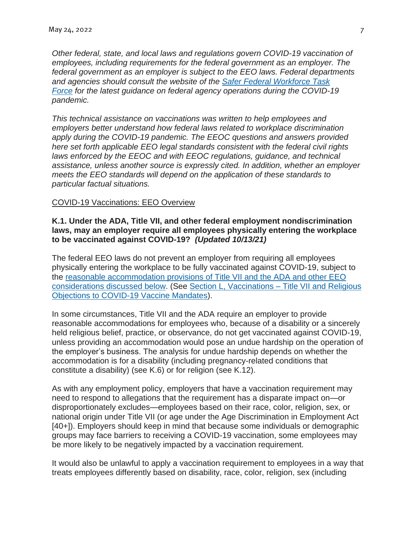*Other federal, state, and local laws and regulations govern COVID-19 vaccination of employees, including requirements for the federal government as an employer. The federal government as an employer is subject to the EEO laws. Federal departments and agencies should consult the website of the [Safer Federal Workforce Task](https://www.saferfederalworkforce.gov/)  [Force](https://www.saferfederalworkforce.gov/) for the latest guidance on federal agency operations during the COVID-19 pandemic.*

*This technical assistance on vaccinations was written to help employees and employers better understand how federal laws related to workplace discrimination apply during the COVID-19 pandemic. The EEOC questions and answers provided here set forth applicable EEO legal standards consistent with the federal civil rights*  laws enforced by the EEOC and with EEOC regulations, guidance, and technical *assistance, unless another source is expressly cited. In addition, whether an employer meets the EEO standards will depend on the application of these standards to particular factual situations.*

#### COVID-19 Vaccinations: EEO Overview

#### **K.1. Under the ADA, Title VII, and other federal employment nondiscrimination laws, may an employer require all employees physically entering the workplace to be vaccinated against COVID-19?** *(Updated 10/13/21)*

The federal EEO laws do not prevent an employer from requiring all employees physically entering the workplace to be fully vaccinated against COVID-19, subject to the [reasonable accommodation provisions of Title VII and the ADA and other EEO](https://www.eeoc.gov/wysk/what-you-should-know-about-covid-19-and-ada-rehabilitation-act-and-other-eeo-laws#K.5)  [considerations discussed below.](https://www.eeoc.gov/wysk/what-you-should-know-about-covid-19-and-ada-rehabilitation-act-and-other-eeo-laws#K.5) (See [Section L, Vaccinations –](https://www.eeoc.gov/wysk/what-you-should-know-about-covid-19-and-ada-rehabilitation-act-and-other-eeo-laws#L) Title VII and Religious [Objections to COVID-19 Vaccine Mandates\)](https://www.eeoc.gov/wysk/what-you-should-know-about-covid-19-and-ada-rehabilitation-act-and-other-eeo-laws#L).

In some circumstances, Title VII and the ADA require an employer to provide reasonable accommodations for employees who, because of a disability or a sincerely held religious belief, practice, or observance, do not get vaccinated against COVID-19, unless providing an accommodation would pose an undue hardship on the operation of the employer's business. The analysis for undue hardship depends on whether the accommodation is for a disability (including pregnancy-related conditions that constitute a disability) (see K.6) or for religion (see K.12).

As with any employment policy, employers that have a vaccination requirement may need to respond to allegations that the requirement has a disparate impact on—or disproportionately excludes—employees based on their race, color, religion, sex, or national origin under Title VII (or age under the Age Discrimination in Employment Act [40+]). Employers should keep in mind that because some individuals or demographic groups may face barriers to receiving a COVID-19 vaccination, some employees may be more likely to be negatively impacted by a vaccination requirement.

It would also be unlawful to apply a vaccination requirement to employees in a way that treats employees differently based on disability, race, color, religion, sex (including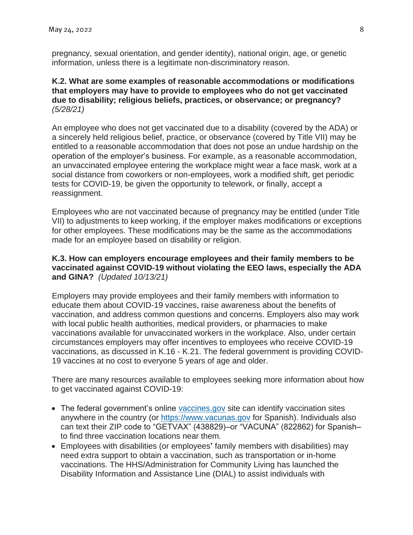pregnancy, sexual orientation, and gender identity), national origin, age, or genetic information, unless there is a legitimate non-discriminatory reason.

# **K.2. What are some examples of reasonable accommodations or modifications that employers may have to provide to employees who do not get vaccinated due to disability; religious beliefs, practices, or observance; or pregnancy?** *(5/28/21)*

An employee who does not get vaccinated due to a disability (covered by the ADA) or a sincerely held religious belief, practice, or observance (covered by Title VII) may be entitled to a reasonable accommodation that does not pose an undue hardship on the operation of the employer's business. For example, as a reasonable accommodation, an unvaccinated employee entering the workplace might wear a face mask, work at a social distance from coworkers or non-employees, work a modified shift, get periodic tests for COVID-19, be given the opportunity to telework, or finally, accept a reassignment.

Employees who are not vaccinated because of pregnancy may be entitled (under Title VII) to adjustments to keep working, if the employer makes modifications or exceptions for other employees. These modifications may be the same as the accommodations made for an employee based on disability or religion.

# **K.3. How can employers encourage employees and their family members to be vaccinated against COVID-19 without violating the EEO laws, especially the ADA and GINA?** *(Updated 10/13/21)*

Employers may provide employees and their family members with information to educate them about COVID-19 vaccines, raise awareness about the benefits of vaccination, and address common questions and concerns. Employers also may work with local public health authorities, medical providers, or pharmacies to make vaccinations available for unvaccinated workers in the workplace. Also, under certain circumstances employers may offer incentives to employees who receive COVID-19 vaccinations, as discussed in K.16 - K.21. The federal government is providing COVID-19 vaccines at no cost to everyone 5 years of age and older.

There are many resources available to employees seeking more information about how to get vaccinated against COVID-19:

- The federal government's online [vaccines.gov](https://www.vaccines.gov/) site can identify vaccination sites anywhere in the country (or [https://www.vacunas.gov](https://www.vacunas.gov/) for Spanish). Individuals also can text their ZIP code to "GETVAX" (438829)–or "VACUNA" (822862) for Spanish– to find three vaccination locations near them.
- Employees with disabilities (or employees**'** family members with disabilities) may need extra support to obtain a vaccination, such as transportation or in-home vaccinations. The HHS/Administration for Community Living has launched the Disability Information and Assistance Line (DIAL) to assist individuals with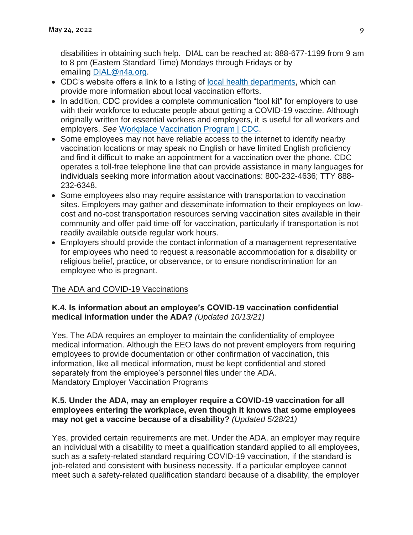disabilities in obtaining such help. DIAL can be reached at: 888-677-1199 from 9 am to 8 pm (Eastern Standard Time) Mondays through Fridays or by emailing [DIAL@n4a.org.](mailto:DIAL@n4a.org)

- CDC's website offers a link to a listing of [local health departments,](https://www.cdc.gov/publichealthgateway/healthdirectories/index.html) which can provide more information about local vaccination efforts.
- In addition, CDC provides a complete communication "tool kit" for employers to use with their workforce to educate people about getting a COVID-19 vaccine. Although originally written for essential workers and employers, it is useful for all workers and employers. *See* [Workplace Vaccination Program | CDC.](https://www.cdc.gov/coronavirus/2019-ncov/vaccines/recommendations/essentialworker/workplace-vaccination-program.html)
- Some employees may not have reliable access to the internet to identify nearby vaccination locations or may speak no English or have limited English proficiency and find it difficult to make an appointment for a vaccination over the phone. CDC operates a toll-free telephone line that can provide assistance in many languages for individuals seeking more information about vaccinations: 800-232-4636; TTY 888- 232-6348.
- Some employees also may require assistance with transportation to vaccination sites. Employers may gather and disseminate information to their employees on lowcost and no-cost transportation resources serving vaccination sites available in their community and offer paid time-off for vaccination, particularly if transportation is not readily available outside regular work hours.
- Employers should provide the contact information of a management representative for employees who need to request a reasonable accommodation for a disability or religious belief, practice, or observance, or to ensure nondiscrimination for an employee who is pregnant.

# The ADA and COVID-19 Vaccinations

# **K.4. Is information about an employee's COVID-19 vaccination confidential medical information under the ADA?** *(Updated 10/13/21)*

Yes. The ADA requires an employer to maintain the confidentiality of employee medical information. Although the EEO laws do not prevent employers from requiring employees to provide documentation or other confirmation of vaccination, this information, like all medical information, must be kept confidential and stored separately from the employee's personnel files under the ADA. Mandatory Employer Vaccination Programs

# **K.5. Under the ADA, may an employer require a COVID-19 vaccination for all employees entering the workplace, even though it knows that some employees may not get a vaccine because of a disability?** *(Updated 5/28/21)*

Yes, provided certain requirements are met. Under the ADA, an employer may require an individual with a disability to meet a qualification standard applied to all employees, such as a safety-related standard requiring COVID-19 vaccination, if the standard is job-related and consistent with business necessity. If a particular employee cannot meet such a safety-related qualification standard because of a disability, the employer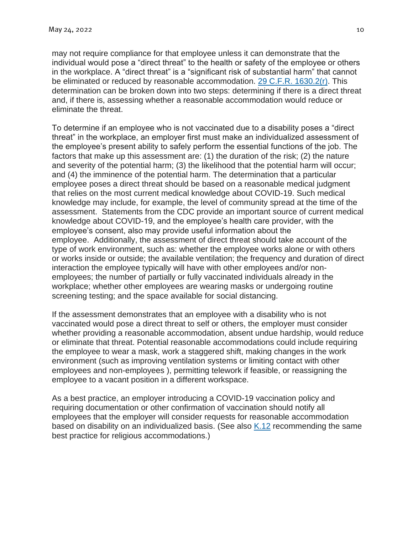may not require compliance for that employee unless it can demonstrate that the individual would pose a "direct threat" to the health or safety of the employee or others in the workplace. A "direct threat" is a "significant risk of substantial harm" that cannot be eliminated or reduced by reasonable accommodation. [29 C.F.R. 1630.2\(r\).](https://www.govinfo.gov/content/pkg/CFR-2012-title29-vol4/xml/CFR-2012-title29-vol4-sec1630-2.xml) This determination can be broken down into two steps: determining if there is a direct threat and, if there is, assessing whether a reasonable accommodation would reduce or eliminate the threat.

To determine if an employee who is not vaccinated due to a disability poses a "direct threat" in the workplace, an employer first must make an individualized assessment of the employee's present ability to safely perform the essential functions of the job. The factors that make up this assessment are: (1) the duration of the risk; (2) the nature and severity of the potential harm; (3) the likelihood that the potential harm will occur; and (4) the imminence of the potential harm. The determination that a particular employee poses a direct threat should be based on a reasonable medical judgment that relies on the most current medical knowledge about COVID-19. Such medical knowledge may include, for example, the level of community spread at the time of the assessment. Statements from the CDC provide an important source of current medical knowledge about COVID-19, and the employee's health care provider, with the employee's consent, also may provide useful information about the employee. Additionally, the assessment of direct threat should take account of the type of work environment, such as: whether the employee works alone or with others or works inside or outside; the available ventilation; the frequency and duration of direct interaction the employee typically will have with other employees and/or nonemployees; the number of partially or fully vaccinated individuals already in the workplace; whether other employees are wearing masks or undergoing routine screening testing; and the space available for social distancing.

If the assessment demonstrates that an employee with a disability who is not vaccinated would pose a direct threat to self or others, the employer must consider whether providing a reasonable accommodation, absent undue hardship, would reduce or eliminate that threat. Potential reasonable accommodations could include requiring the employee to wear a mask, work a staggered shift, making changes in the work environment (such as improving ventilation systems or limiting contact with other employees and non-employees ), permitting telework if feasible, or reassigning the employee to a vacant position in a different workspace.

As a best practice, an employer introducing a COVID-19 vaccination policy and requiring documentation or other confirmation of vaccination should notify all employees that the employer will consider requests for reasonable accommodation based on disability on an individualized basis. (See also [K.12](https://www.eeoc.gov/wysk/what-you-should-know-about-covid-19-and-ada-rehabilitation-act-and-other-eeo-laws#K.12) recommending the same best practice for religious accommodations.)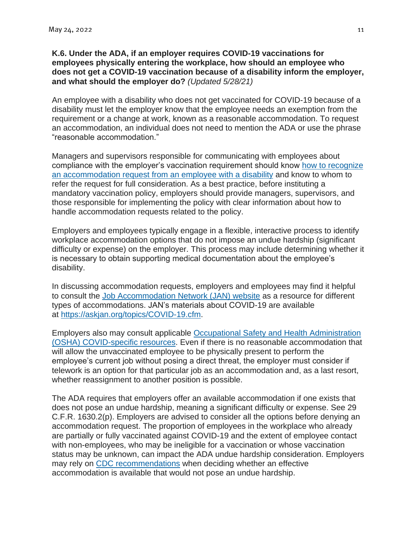#### **K.6. Under the ADA, if an employer requires COVID-19 vaccinations for employees physically entering the workplace, how should an employee who does not get a COVID-19 vaccination because of a disability inform the employer, and what should the employer do?** *(Updated 5/28/21)*

An employee with a disability who does not get vaccinated for COVID-19 because of a disability must let the employer know that the employee needs an exemption from the requirement or a change at work, known as a reasonable accommodation. To request an accommodation, an individual does not need to mention the ADA or use the phrase "reasonable accommodation."

Managers and supervisors responsible for communicating with employees about compliance with the employer's vaccination requirement should know [how to recognize](https://www.eeoc.gov/laws/guidance/enforcement-guidance-reasonable-accommodation-and-undue-hardship-under-ada#requesting)  [an accommodation request from an employee with a disability](https://www.eeoc.gov/laws/guidance/enforcement-guidance-reasonable-accommodation-and-undue-hardship-under-ada#requesting) and know to whom to refer the request for full consideration. As a best practice, before instituting a mandatory vaccination policy, employers should provide managers, supervisors, and those responsible for implementing the policy with clear information about how to handle accommodation requests related to the policy.

Employers and employees typically engage in a flexible, interactive process to identify workplace accommodation options that do not impose an undue hardship (significant difficulty or expense) on the employer. This process may include determining whether it is necessary to obtain supporting medical documentation about the employee's disability.

In discussing accommodation requests, employers and employees may find it helpful to consult the [Job Accommodation Network \(JAN\) website](https://www.askjan.org/) as a resource for different types of accommodations. JAN's materials about COVID-19 are available at [https://askjan.org/topics/COVID-19.cfm.](https://askjan.org/topics/COVID-19.cfm)

Employers also may consult applicable [Occupational Safety and Health Administration](https://www.osha.gov/SLTC/covid-19/)  [\(OSHA\) COVID-specific resources.](https://www.osha.gov/SLTC/covid-19/) Even if there is no reasonable accommodation that will allow the unvaccinated employee to be physically present to perform the employee's current job without posing a direct threat, the employer must consider if telework is an option for that particular job as an accommodation and, as a last resort, whether reassignment to another position is possible.

The ADA requires that employers offer an available accommodation if one exists that does not pose an undue hardship, meaning a significant difficulty or expense. See 29 C.F.R. 1630.2(p). Employers are advised to consider all the options before denying an accommodation request. The proportion of employees in the workplace who already are partially or fully vaccinated against COVID-19 and the extent of employee contact with non-employees, who may be ineligible for a vaccination or whose vaccination status may be unknown, can impact the ADA undue hardship consideration. Employers may rely on [CDC recommendations](https://www.cdc.gov/coronavirus/2019-ncov/) when deciding whether an effective accommodation is available that would not pose an undue hardship.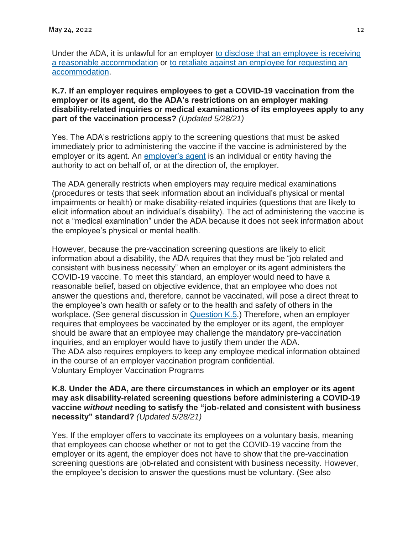Under the ADA, it is unlawful for an employer [to disclose that an employee is receiving](https://www.eeoc.gov/laws/guidance/enforcement-guidance-reasonable-accommodation-and-undue-hardship-under-ada#li42)  [a reasonable accommodation](https://www.eeoc.gov/laws/guidance/enforcement-guidance-reasonable-accommodation-and-undue-hardship-under-ada#li42) or [to retaliate against an employee for requesting an](https://www.eeoc.gov/laws/guidance/enforcement-guidance-reasonable-accommodation-and-undue-hardship-under-ada#li19)  [accommodation.](https://www.eeoc.gov/laws/guidance/enforcement-guidance-reasonable-accommodation-and-undue-hardship-under-ada#li19)

#### **K.7. If an employer requires employees to get a COVID-19 vaccination from the employer or its agent, do the ADA's restrictions on an employer making disability-related inquiries or medical examinations of its employees apply to any part of the vaccination process?** *(Updated 5/28/21)*

Yes. The ADA's restrictions apply to the screening questions that must be asked immediately prior to administering the vaccine if the vaccine is administered by the employer or its agent. An [employer's agent](https://www.eeoc.gov/laws/guidance/section-2-threshold-issues#2-III-B-2) is an individual or entity having the authority to act on behalf of, or at the direction of, the employer.

The ADA generally restricts when employers may require medical examinations (procedures or tests that seek information about an individual's physical or mental impairments or health) or make disability-related inquiries (questions that are likely to elicit information about an individual's disability). The act of administering the vaccine is not a "medical examination" under the ADA because it does not seek information about the employee's physical or mental health.

However, because the pre-vaccination screening questions are likely to elicit information about a disability, the ADA requires that they must be "job related and consistent with business necessity" when an employer or its agent administers the COVID-19 vaccine. To meet this standard, an employer would need to have a reasonable belief, based on objective evidence, that an employee who does not answer the questions and, therefore, cannot be vaccinated, will pose a direct threat to the employee's own health or safety or to the health and safety of others in the workplace. (See general discussion in **[Question K.5.](https://www.eeoc.gov/wysk/what-you-should-know-about-covid-19-and-ada-rehabilitation-act-and-other-eeo-laws#K.5)**) Therefore, when an employer requires that employees be vaccinated by the employer or its agent, the employer should be aware that an employee may challenge the mandatory pre-vaccination inquiries, and an employer would have to justify them under the ADA. The ADA also requires employers to keep any employee medical information obtained in the course of an employer vaccination program confidential. Voluntary Employer Vaccination Programs

#### **K.8. Under the ADA, are there circumstances in which an employer or its agent may ask disability-related screening questions before administering a COVID-19 vaccine** *without* **needing to satisfy the "job-related and consistent with business necessity" standard?** *(Updated 5/28/21)*

Yes. If the employer offers to vaccinate its employees on a voluntary basis, meaning that employees can choose whether or not to get the COVID-19 vaccine from the employer or its agent, the employer does not have to show that the pre-vaccination screening questions are job-related and consistent with business necessity. However, the employee's decision to answer the questions must be voluntary. (See also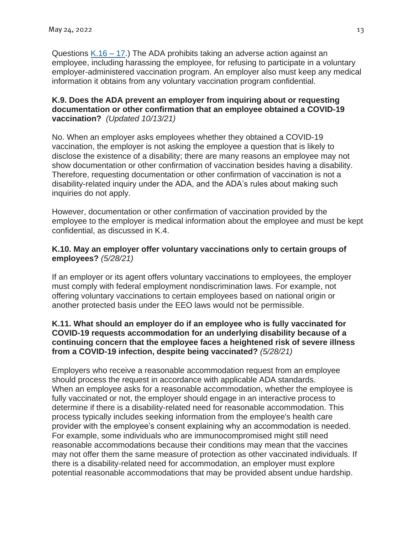Questions [K.16 –](https://www.eeoc.gov/wysk/what-you-should-know-about-covid-19-and-ada-rehabilitation-act-and-other-eeo-laws#K.16) 17.) The ADA prohibits taking an adverse action against an employee, including harassing the employee, for refusing to participate in a voluntary employer-administered vaccination program. An employer also must keep any medical information it obtains from any voluntary vaccination program confidential.

# **K.9. Does the ADA prevent an employer from inquiring about or requesting documentation or other confirmation that an employee obtained a COVID-19 vaccination?** *(Updated 10/13/21)*

No. When an employer asks employees whether they obtained a COVID-19 vaccination, the employer is not asking the employee a question that is likely to disclose the existence of a disability; there are many reasons an employee may not show documentation or other confirmation of vaccination besides having a disability. Therefore, requesting documentation or other confirmation of vaccination is not a disability-related inquiry under the ADA, and the ADA's rules about making such inquiries do not apply.

However, documentation or other confirmation of vaccination provided by the employee to the employer is medical information about the employee and must be kept confidential, as discussed in K.4.

# **K.10. May an employer offer voluntary vaccinations only to certain groups of employees?** *(5/28/21)*

If an employer or its agent offers voluntary vaccinations to employees, the employer must comply with federal employment nondiscrimination laws. For example, not offering voluntary vaccinations to certain employees based on national origin or another protected basis under the EEO laws would not be permissible.

# **K.11. What should an employer do if an employee who is fully vaccinated for COVID-19 requests accommodation for an underlying disability because of a continuing concern that the employee faces a heightened risk of severe illness from a COVID-19 infection, despite being vaccinated?** *(5/28/21)*

Employers who receive a reasonable accommodation request from an employee should process the request in accordance with applicable ADA standards. When an employee asks for a reasonable accommodation, whether the employee is fully vaccinated or not, the employer should engage in an interactive process to determine if there is a disability-related need for reasonable accommodation. This process typically includes seeking information from the employee's health care provider with the employee's consent explaining why an accommodation is needed. For example, some individuals who are immunocompromised might still need reasonable accommodations because their conditions may mean that the vaccines may not offer them the same measure of protection as other vaccinated individuals. If there is a disability-related need for accommodation, an employer must explore potential reasonable accommodations that may be provided absent undue hardship.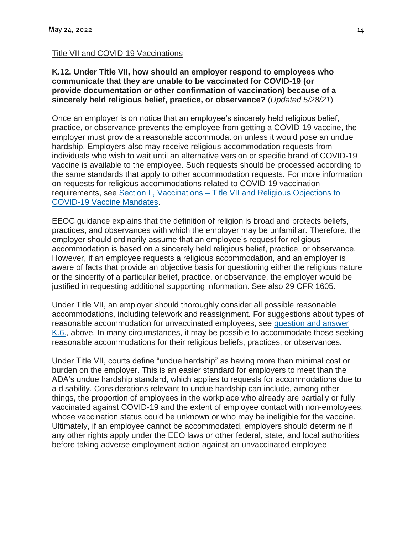#### Title VII and COVID-19 Vaccinations

#### **K.12. Under Title VII, how should an employer respond to employees who communicate that they are unable to be vaccinated for COVID-19 (or provide documentation or other confirmation of vaccination) because of a sincerely held religious belief, practice, or observance?** (*Updated 5/28/21*)

Once an employer is on notice that an employee's sincerely held religious belief, practice, or observance prevents the employee from getting a COVID-19 vaccine, the employer must provide a reasonable accommodation unless it would pose an undue hardship. Employers also may receive religious accommodation requests from individuals who wish to wait until an alternative version or specific brand of COVID-19 vaccine is available to the employee. Such requests should be processed according to the same standards that apply to other accommodation requests. For more information on requests for religious accommodations related to COVID-19 vaccination requirements, see Section L, Vaccinations – [Title VII and Religious Objections to](https://www.eeoc.gov/wysk/what-you-should-know-about-covid-19-and-ada-rehabilitation-act-and-other-eeo-laws#L)  [COVID-19 Vaccine Mandates.](https://www.eeoc.gov/wysk/what-you-should-know-about-covid-19-and-ada-rehabilitation-act-and-other-eeo-laws#L)

EEOC guidance explains that the definition of religion is broad and protects beliefs, practices, and observances with which the employer may be unfamiliar. Therefore, the employer should ordinarily assume that an employee's request for religious accommodation is based on a sincerely held religious belief, practice, or observance. However, if an employee requests a religious accommodation, and an employer is aware of facts that provide an objective basis for questioning either the religious nature or the sincerity of a particular belief, practice, or observance, the employer would be justified in requesting additional supporting information. See also 29 CFR 1605.

Under Title VII, an employer should thoroughly consider all possible reasonable accommodations, including telework and reassignment. For suggestions about types of reasonable accommodation for unvaccinated employees, see [question and answer](https://www.eeoc.gov/wysk/what-you-should-know-about-covid-19-and-ada-rehabilitation-act-and-other-eeo-laws#K.6)  [K.6.,](https://www.eeoc.gov/wysk/what-you-should-know-about-covid-19-and-ada-rehabilitation-act-and-other-eeo-laws#K.6) above. In many circumstances, it may be possible to accommodate those seeking reasonable accommodations for their religious beliefs, practices, or observances.

Under Title VII, courts define "undue hardship" as having more than minimal cost or burden on the employer. This is an easier standard for employers to meet than the ADA's undue hardship standard, which applies to requests for accommodations due to a disability. Considerations relevant to undue hardship can include, among other things, the proportion of employees in the workplace who already are partially or fully vaccinated against COVID-19 and the extent of employee contact with non-employees, whose vaccination status could be unknown or who may be ineligible for the vaccine. Ultimately, if an employee cannot be accommodated, employers should determine if any other rights apply under the EEO laws or other federal, state, and local authorities before taking adverse employment action against an unvaccinated employee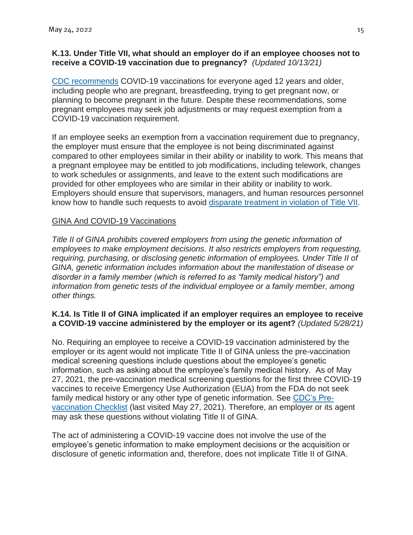# **K.13. Under Title VII, what should an employer do if an employee chooses not to receive a COVID-19 vaccination due to pregnancy?** *(Updated 10/13/21)*

[CDC recommends](https://emergency.cdc.gov/han/2021/han00453.asp) COVID-19 vaccinations for everyone aged 12 years and older, including people who are pregnant, breastfeeding, trying to get pregnant now, or planning to become pregnant in the future. Despite these recommendations, some pregnant employees may seek job adjustments or may request exemption from a COVID-19 vaccination requirement.

If an employee seeks an exemption from a vaccination requirement due to pregnancy, the employer must ensure that the employee is not being discriminated against compared to other employees similar in their ability or inability to work. This means that a pregnant employee may be entitled to job modifications, including telework, changes to work schedules or assignments, and leave to the extent such modifications are provided for other employees who are similar in their ability or inability to work. Employers should ensure that supervisors, managers, and human resources personnel know how to handle such requests to avoid [disparate treatment in violation of Title VII.](https://www.eeoc.gov/wysk/what-you-should-know-about-covid-19-and-ada-rehabilitation-act-and-other-eeo-laws#J.2)

# GINA And COVID-19 Vaccinations

*Title II of GINA prohibits covered employers from using the genetic information of employees to make employment decisions. It also restricts employers from requesting, requiring, purchasing, or disclosing genetic information of employees. Under Title II of GINA, genetic information includes information about the manifestation of disease or disorder in a family member (which is referred to as "family medical history") and information from genetic tests of the individual employee or a family member, among other things.*

# **K.14. Is Title II of GINA implicated if an employer requires an employee to receive a COVID-19 vaccine administered by the employer or its agent?** *(Updated 5/28/21)*

No. Requiring an employee to receive a COVID-19 vaccination administered by the employer or its agent would not implicate Title II of GINA unless the pre-vaccination medical screening questions include questions about the employee's genetic information, such as asking about the employee's family medical history. As of May 27, 2021, the pre-vaccination medical screening questions for the first three COVID-19 vaccines to receive Emergency Use Authorization (EUA) from the FDA do not seek family medical history or any other type of genetic information. See [CDC's Pre](https://www.cdc.gov/vaccines/covid-19/downloads/pre-vaccination-screening-form.pdf)[vaccination Checklist](https://www.cdc.gov/vaccines/covid-19/downloads/pre-vaccination-screening-form.pdf) (last visited May 27, 2021). Therefore, an employer or its agent may ask these questions without violating Title II of GINA.

The act of administering a COVID-19 vaccine does not involve the use of the employee's genetic information to make employment decisions or the acquisition or disclosure of genetic information and, therefore, does not implicate Title II of GINA.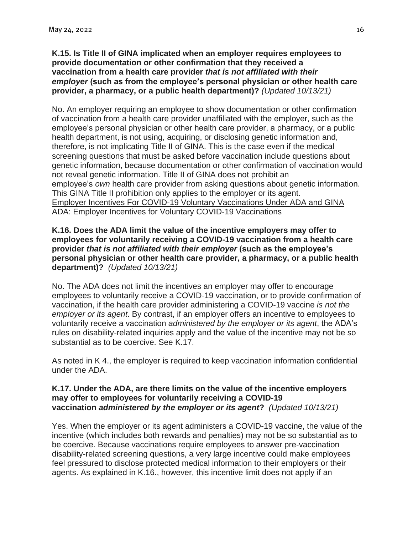#### **K.15. Is Title II of GINA implicated when an employer requires employees to provide documentation or other confirmation that they received a vaccination from a health care provider** *that is not affiliated with their employer* **(such as from the employee's personal physician or other health care provider, a pharmacy, or a public health department)?** *(Updated 10/13/21)*

No. An employer requiring an employee to show documentation or other confirmation of vaccination from a health care provider unaffiliated with the employer, such as the employee's personal physician or other health care provider, a pharmacy, or a public health department, is not using, acquiring, or disclosing genetic information and, therefore, is not implicating Title II of GINA. This is the case even if the medical screening questions that must be asked before vaccination include questions about genetic information, because documentation or other confirmation of vaccination would not reveal genetic information. Title II of GINA does not prohibit an employee's *own* health care provider from asking questions about genetic information. This GINA Title II prohibition only applies to the employer or its agent. Employer Incentives For COVID-19 Voluntary Vaccinations Under ADA and GINA ADA: Employer Incentives for Voluntary COVID-19 Vaccinations

#### **K.16. Does the ADA limit the value of the incentive employers may offer to employees for voluntarily receiving a COVID-19 vaccination from a health care provider** *that is not affiliated with their employer* **(such as the employee's personal physician or other health care provider, a pharmacy, or a public health department)?** *(Updated 10/13/21)*

No. The ADA does not limit the incentives an employer may offer to encourage employees to voluntarily receive a COVID-19 vaccination, or to provide confirmation of vaccination, if the health care provider administering a COVID-19 vaccine *is not the employer or its agent*. By contrast, if an employer offers an incentive to employees to voluntarily receive a vaccination *administered by the employer or its agent*, the ADA's rules on disability-related inquiries apply and the value of the incentive may not be so substantial as to be coercive. See K.17.

As noted in K 4., the employer is required to keep vaccination information confidential under the ADA.

#### **K.17. Under the ADA, are there limits on the value of the incentive employers may offer to employees for voluntarily receiving a COVID-19 vaccination** *administered by the employer or its agent***?** *(Updated 10/13/21)*

Yes. When the employer or its agent administers a COVID-19 vaccine, the value of the incentive (which includes both rewards and penalties) may not be so substantial as to be coercive. Because vaccinations require employees to answer pre-vaccination disability-related screening questions, a very large incentive could make employees feel pressured to disclose protected medical information to their employers or their agents. As explained in K.16., however, this incentive limit does not apply if an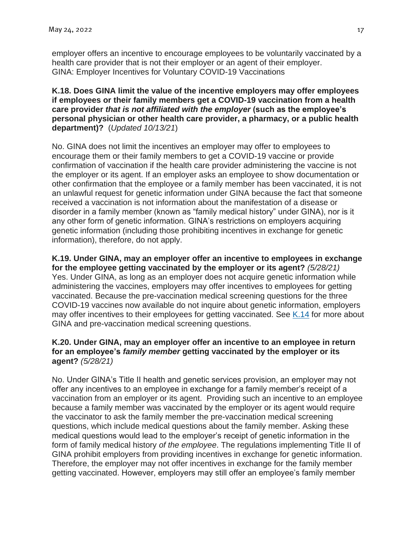employer offers an incentive to encourage employees to be voluntarily vaccinated by a health care provider that is not their employer or an agent of their employer. GINA: Employer Incentives for Voluntary COVID-19 Vaccinations

# **K.18. Does GINA limit the value of the incentive employers may offer employees if employees or their family members get a COVID-19 vaccination from a health care provider** *that is not affiliated with the employer* **(such as the employee's personal physician or other health care provider, a pharmacy, or a public health department)?** (*Updated 10/13/21*)

No. GINA does not limit the incentives an employer may offer to employees to encourage them or their family members to get a COVID-19 vaccine or provide confirmation of vaccination if the health care provider administering the vaccine is not the employer or its agent. If an employer asks an employee to show documentation or other confirmation that the employee or a family member has been vaccinated, it is not an unlawful request for genetic information under GINA because the fact that someone received a vaccination is not information about the manifestation of a disease or disorder in a family member (known as "family medical history" under GINA), nor is it any other form of genetic information. GINA's restrictions on employers acquiring genetic information (including those prohibiting incentives in exchange for genetic information), therefore, do not apply.

**K.19. Under GINA, may an employer offer an incentive to employees in exchange for the employee getting vaccinated by the employer or its agent?** *(5/28/21)* Yes. Under GINA, as long as an employer does not acquire genetic information while administering the vaccines, employers may offer incentives to employees for getting vaccinated. Because the pre-vaccination medical screening questions for the three COVID-19 vaccines now available do not inquire about genetic information, employers may offer incentives to their employees for getting vaccinated. See [K.14](https://www.eeoc.gov/wysk/what-you-should-know-about-covid-19-and-ada-rehabilitation-act-and-other-eeo-laws#K.14) for more about GINA and pre-vaccination medical screening questions.

# **K.20. Under GINA, may an employer offer an incentive to an employee in return for an employee's** *family member* **getting vaccinated by the employer or its agent?** *(5/28/21)*

No. Under GINA's Title II health and genetic services provision, an employer may not offer any incentives to an employee in exchange for a family member's receipt of a vaccination from an employer or its agent. Providing such an incentive to an employee because a family member was vaccinated by the employer or its agent would require the vaccinator to ask the family member the pre-vaccination medical screening questions, which include medical questions about the family member. Asking these medical questions would lead to the employer's receipt of genetic information in the form of family medical history *of the employee*. The regulations implementing Title II of GINA prohibit employers from providing incentives in exchange for genetic information. Therefore, the employer may not offer incentives in exchange for the family member getting vaccinated. However, employers may still offer an employee's family member